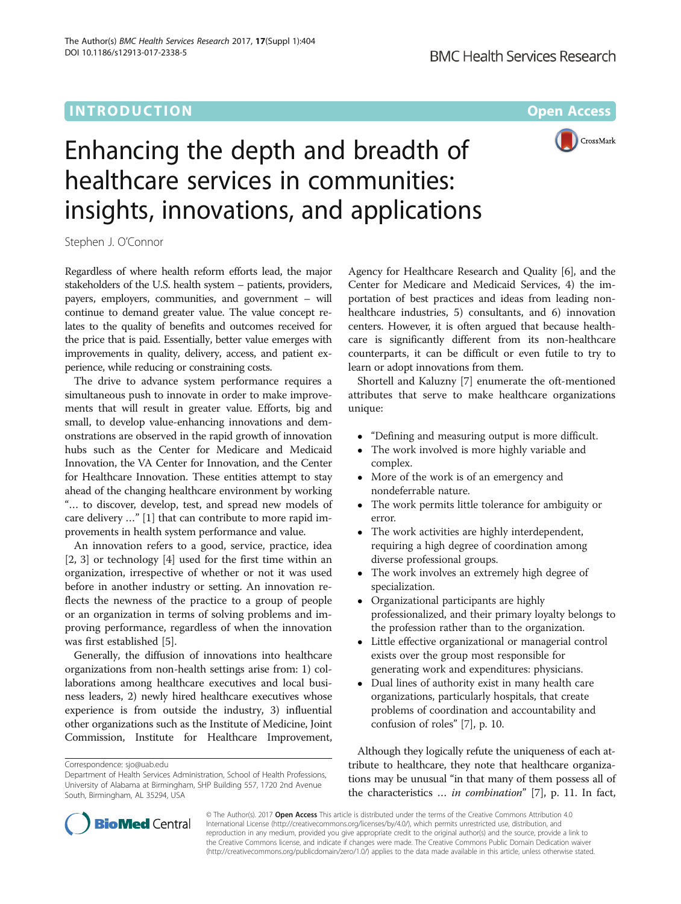

# Enhancing the depth and breadth of healthcare services in communities: insights, innovations, and applications

Stephen J. O'Connor

Regardless of where health reform efforts lead, the major stakeholders of the U.S. health system – patients, providers, payers, employers, communities, and government – will continue to demand greater value. The value concept relates to the quality of benefits and outcomes received for the price that is paid. Essentially, better value emerges with improvements in quality, delivery, access, and patient experience, while reducing or constraining costs.

The drive to advance system performance requires a simultaneous push to innovate in order to make improvements that will result in greater value. Efforts, big and small, to develop value-enhancing innovations and demonstrations are observed in the rapid growth of innovation hubs such as the Center for Medicare and Medicaid Innovation, the VA Center for Innovation, and the Center for Healthcare Innovation. These entities attempt to stay ahead of the changing healthcare environment by working "… to discover, develop, test, and spread new models of care delivery …" [[1](#page-2-0)] that can contribute to more rapid improvements in health system performance and value.

An innovation refers to a good, service, practice, idea [[2, 3](#page-2-0)] or technology [\[4](#page-2-0)] used for the first time within an organization, irrespective of whether or not it was used before in another industry or setting. An innovation reflects the newness of the practice to a group of people or an organization in terms of solving problems and improving performance, regardless of when the innovation was first established [[5](#page-2-0)].

Generally, the diffusion of innovations into healthcare organizations from non-health settings arise from: 1) collaborations among healthcare executives and local business leaders, 2) newly hired healthcare executives whose experience is from outside the industry, 3) influential other organizations such as the Institute of Medicine, Joint Commission, Institute for Healthcare Improvement,

Agency for Healthcare Research and Quality [\[6\]](#page-2-0), and the Center for Medicare and Medicaid Services, 4) the importation of best practices and ideas from leading nonhealthcare industries, 5) consultants, and 6) innovation centers. However, it is often argued that because healthcare is significantly different from its non-healthcare counterparts, it can be difficult or even futile to try to learn or adopt innovations from them.

Shortell and Kaluzny [[7\]](#page-2-0) enumerate the oft-mentioned attributes that serve to make healthcare organizations unique:

- "Defining and measuring output is more difficult.
- The work involved is more highly variable and complex.
- More of the work is of an emergency and nondeferrable nature.
- The work permits little tolerance for ambiguity or error.
- The work activities are highly interdependent, requiring a high degree of coordination among diverse professional groups.
- The work involves an extremely high degree of specialization.
- Organizational participants are highly professionalized, and their primary loyalty belongs to the profession rather than to the organization.
- Little effective organizational or managerial control exists over the group most responsible for generating work and expenditures: physicians.
- Dual lines of authority exist in many health care organizations, particularly hospitals, that create problems of coordination and accountability and confusion of roles" [\[7\]](#page-2-0), p. 10.

Although they logically refute the uniqueness of each attribute to healthcare, they note that healthcare organizations may be unusual "in that many of them possess all of the characteristics … in combination" [[7\]](#page-2-0), p. 11. In fact,



© The Author(s). 2017 **Open Access** This article is distributed under the terms of the Creative Commons Attribution 4.0 International License [\(http://creativecommons.org/licenses/by/4.0/](http://creativecommons.org/licenses/by/4.0/)), which permits unrestricted use, distribution, and reproduction in any medium, provided you give appropriate credit to the original author(s) and the source, provide a link to the Creative Commons license, and indicate if changes were made. The Creative Commons Public Domain Dedication waiver [\(http://creativecommons.org/publicdomain/zero/1.0/](http://creativecommons.org/publicdomain/zero/1.0/)) applies to the data made available in this article, unless otherwise stated.

Correspondence: [sjo@uab.edu](mailto:sjo@uab.edu)

Department of Health Services Administration, School of Health Professions, University of Alabama at Birmingham, SHP Building 557, 1720 2nd Avenue South, Birmingham, AL 35294, USA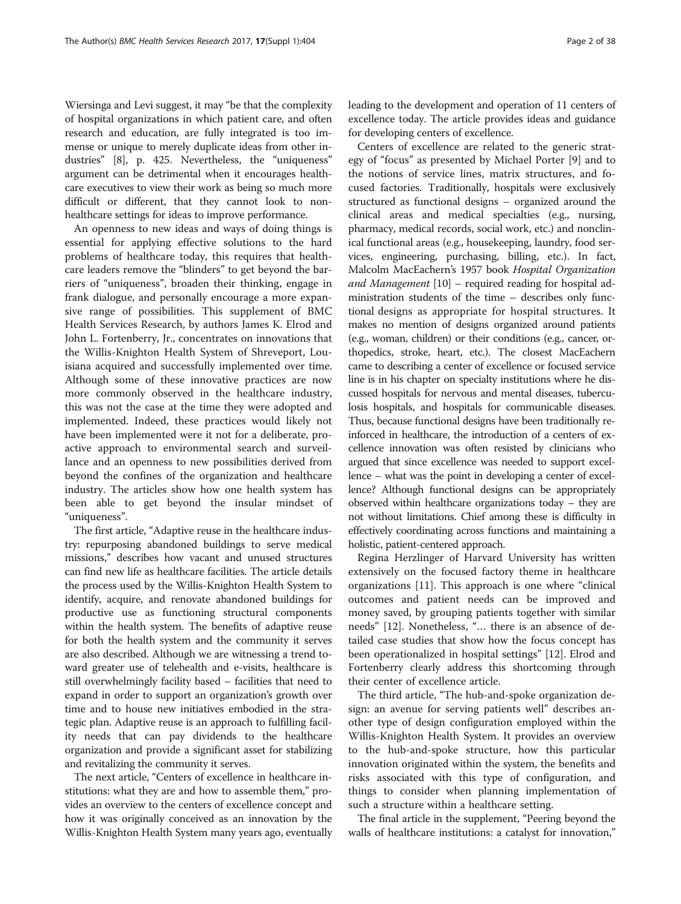Wiersinga and Levi suggest, it may "be that the complexity of hospital organizations in which patient care, and often research and education, are fully integrated is too immense or unique to merely duplicate ideas from other industries" [\[8\]](#page-2-0), p. 425. Nevertheless, the "uniqueness" argument can be detrimental when it encourages healthcare executives to view their work as being so much more difficult or different, that they cannot look to nonhealthcare settings for ideas to improve performance.

An openness to new ideas and ways of doing things is essential for applying effective solutions to the hard problems of healthcare today, this requires that healthcare leaders remove the "blinders" to get beyond the barriers of "uniqueness", broaden their thinking, engage in frank dialogue, and personally encourage a more expansive range of possibilities. This supplement of BMC Health Services Research, by authors James K. Elrod and John L. Fortenberry, Jr., concentrates on innovations that the Willis-Knighton Health System of Shreveport, Louisiana acquired and successfully implemented over time. Although some of these innovative practices are now more commonly observed in the healthcare industry, this was not the case at the time they were adopted and implemented. Indeed, these practices would likely not have been implemented were it not for a deliberate, proactive approach to environmental search and surveillance and an openness to new possibilities derived from beyond the confines of the organization and healthcare industry. The articles show how one health system has been able to get beyond the insular mindset of "uniqueness".

The first article, "Adaptive reuse in the healthcare industry: repurposing abandoned buildings to serve medical missions," describes how vacant and unused structures can find new life as healthcare facilities. The article details the process used by the Willis-Knighton Health System to identify, acquire, and renovate abandoned buildings for productive use as functioning structural components within the health system. The benefits of adaptive reuse for both the health system and the community it serves are also described. Although we are witnessing a trend toward greater use of telehealth and e-visits, healthcare is still overwhelmingly facility based – facilities that need to expand in order to support an organization's growth over time and to house new initiatives embodied in the strategic plan. Adaptive reuse is an approach to fulfilling facility needs that can pay dividends to the healthcare organization and provide a significant asset for stabilizing and revitalizing the community it serves.

The next article, "Centers of excellence in healthcare institutions: what they are and how to assemble them," provides an overview to the centers of excellence concept and how it was originally conceived as an innovation by the Willis-Knighton Health System many years ago, eventually leading to the development and operation of 11 centers of excellence today. The article provides ideas and guidance for developing centers of excellence.

Centers of excellence are related to the generic strategy of "focus" as presented by Michael Porter [\[9](#page-2-0)] and to the notions of service lines, matrix structures, and focused factories. Traditionally, hospitals were exclusively structured as functional designs – organized around the clinical areas and medical specialties (e.g., nursing, pharmacy, medical records, social work, etc.) and nonclinical functional areas (e.g., housekeeping, laundry, food services, engineering, purchasing, billing, etc.). In fact, Malcolm MacEachern's 1957 book Hospital Organization and Management [\[10\]](#page-2-0) - required reading for hospital administration students of the time – describes only functional designs as appropriate for hospital structures. It makes no mention of designs organized around patients (e.g., woman, children) or their conditions (e.g., cancer, orthopedics, stroke, heart, etc.). The closest MacEachern came to describing a center of excellence or focused service line is in his chapter on specialty institutions where he discussed hospitals for nervous and mental diseases, tuberculosis hospitals, and hospitals for communicable diseases. Thus, because functional designs have been traditionally reinforced in healthcare, the introduction of a centers of excellence innovation was often resisted by clinicians who argued that since excellence was needed to support excellence – what was the point in developing a center of excellence? Although functional designs can be appropriately observed within healthcare organizations today – they are not without limitations. Chief among these is difficulty in effectively coordinating across functions and maintaining a holistic, patient-centered approach.

Regina Herzlinger of Harvard University has written extensively on the focused factory theme in healthcare organizations [\[11](#page-2-0)]. This approach is one where "clinical outcomes and patient needs can be improved and money saved, by grouping patients together with similar needs" [[12](#page-2-0)]. Nonetheless, "… there is an absence of detailed case studies that show how the focus concept has been operationalized in hospital settings" [\[12\]](#page-2-0). Elrod and Fortenberry clearly address this shortcoming through their center of excellence article.

The third article, "The hub-and-spoke organization design: an avenue for serving patients well" describes another type of design configuration employed within the Willis-Knighton Health System. It provides an overview to the hub-and-spoke structure, how this particular innovation originated within the system, the benefits and risks associated with this type of configuration, and things to consider when planning implementation of such a structure within a healthcare setting.

The final article in the supplement, "Peering beyond the walls of healthcare institutions: a catalyst for innovation,"